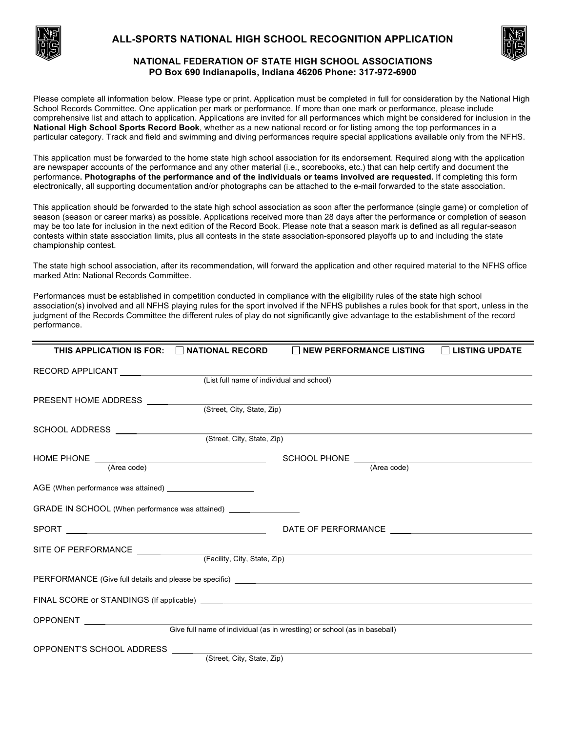

# **ALL-SPORTS NATIONAL HIGH SCHOOL RECOGNITION APPLICATION**



## **NATIONAL FEDERATION OF STATE HIGH SCHOOL ASSOCIATIONS PO Box 690 Indianapolis, Indiana 46206 Phone: 317-972-6900**

Please complete all information below. Please type or print. Application must be completed in full for consideration by the National High School Records Committee. One application per mark or performance. If more than one mark or performance, please include comprehensive list and attach to application. Applications are invited for all performances which might be considered for inclusion in the **National High School Sports Record Book**, whether as a new national record or for listing among the top performances in a particular category. Track and field and swimming and diving performances require special applications available only from the NFHS.

This application must be forwarded to the home state high school association for its endorsement. Required along with the application are newspaper accounts of the performance and any other material (i.e., scorebooks, etc.) that can help certify and document the performance**. Photographs of the performance and of the individuals or teams involved are requested.** If completing this form electronically, all supporting documentation and/or photographs can be attached to the e-mail forwarded to the state association.

This application should be forwarded to the state high school association as soon after the performance (single game) or completion of season (season or career marks) as possible. Applications received more than 28 days after the performance or completion of season may be too late for inclusion in the next edition of the Record Book. Please note that a season mark is defined as all regular-season contests within state association limits, plus all contests in the state association-sponsored playoffs up to and including the state championship contest.

The state high school association, after its recommendation, will forward the application and other required material to the NFHS office marked Attn: National Records Committee.

Performances must be established in competition conducted in compliance with the eligibility rules of the state high school association(s) involved and all NFHS playing rules for the sport involved if the NFHS publishes a rules book for that sport, unless in the judgment of the Records Committee the different rules of play do not significantly give advantage to the establishment of the record performance.

| THIS APPLICATION IS FOR: $\Box$ NATIONAL RECORD                                  |                              | NEW PERFORMANCE LISTING   LISTING UPDATE                                  |  |
|----------------------------------------------------------------------------------|------------------------------|---------------------------------------------------------------------------|--|
|                                                                                  |                              |                                                                           |  |
|                                                                                  |                              |                                                                           |  |
| PRESENT HOME ADDRESS __________                                                  |                              |                                                                           |  |
|                                                                                  | (Street, City, State, Zip)   |                                                                           |  |
| SCHOOL ADDRESS __________________                                                | (Street, City, State, Zip)   |                                                                           |  |
|                                                                                  |                              |                                                                           |  |
|                                                                                  |                              |                                                                           |  |
|                                                                                  |                              |                                                                           |  |
|                                                                                  |                              |                                                                           |  |
| GRADE IN SCHOOL (When performance was attained) ________________________________ |                              |                                                                           |  |
|                                                                                  |                              |                                                                           |  |
|                                                                                  |                              |                                                                           |  |
|                                                                                  | (Facility, City, State, Zip) |                                                                           |  |
|                                                                                  |                              |                                                                           |  |
|                                                                                  |                              |                                                                           |  |
|                                                                                  |                              |                                                                           |  |
|                                                                                  |                              | Give full name of individual (as in wrestling) or school (as in baseball) |  |
| OPPONENT'S SCHOOL ADDRESS                                                        |                              |                                                                           |  |
|                                                                                  | (Street, City, State, Zip)   |                                                                           |  |